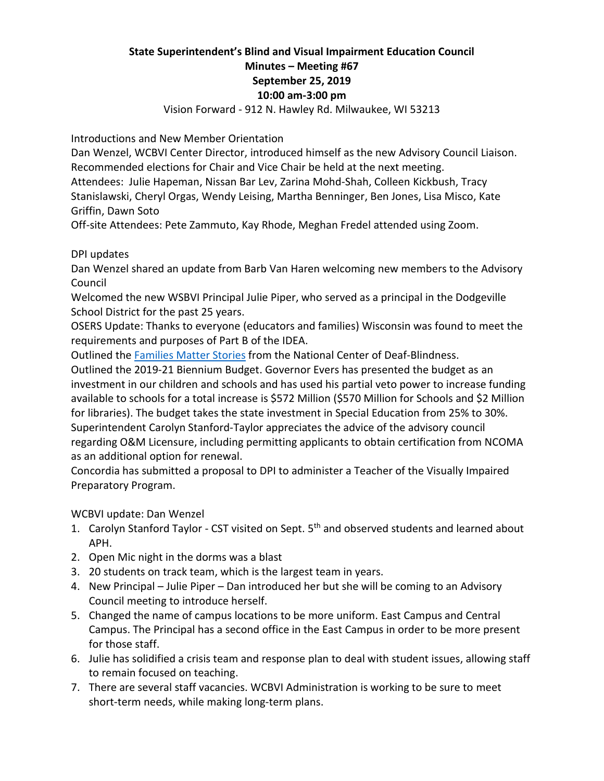# **State Superintendent's Blind and Visual Impairment Education Council Minutes – Meeting #67 September 25, 2019 10:00 am-3:00 pm**

Vision Forward - 912 N. Hawley Rd. Milwaukee, WI 53213

Introductions and New Member Orientation

Dan Wenzel, WCBVI Center Director, introduced himself as the new Advisory Council Liaison. Recommended elections for Chair and Vice Chair be held at the next meeting.

Attendees: Julie Hapeman, Nissan Bar Lev, Zarina Mohd-Shah, Colleen Kickbush, Tracy Stanislawski, Cheryl Orgas, Wendy Leising, Martha Benninger, Ben Jones, Lisa Misco, Kate Griffin, Dawn Soto

Off-site Attendees: Pete Zammuto, Kay Rhode, Meghan Fredel attended using Zoom.

DPI updates

Dan Wenzel shared an update from Barb Van Haren welcoming new members to the Advisory Council

Welcomed the new WSBVI Principal Julie Piper, who served as a principal in the Dodgeville School District for the past 25 years.

OSERS Update: Thanks to everyone (educators and families) Wisconsin was found to meet the requirements and purposes of Part B of the IDEA.

Outlined the [Families Matter Stories](http://links.govdelivery.com/track?type=click&enid=ZWFzPTEmbXNpZD0mYXVpZD0mbWFpbGluZ2lkPTIwMTkwODI5Ljk2MDIyNDEmbWVzc2FnZWlkPU1EQi1QUkQtQlVMLTIwMTkwODI5Ljk2MDIyNDEmZGF0YWJhc2VpZD0xMDAxJnNlcmlhbD0xNjc4NzM2NSZlbWFpbGlkPWJhcmJhcmEudmFuaGFyZW5AZHBpLndpLmdvdiZ1c2VyaWQ9YmFyYmFyYS52YW5oYXJlbkBkcGkud2kuZ292JnRhcmdldGlkPSZmbD0mbXZpZD0mZXh0cmE9JiYm&&&107&&&https://nationaldb.org/families/familiesmatterstories?utm_content=&utm_medium=email&utm_name=&utm_source=govdelivery&utm_term=) from the National Center of Deaf-Blindness.

Outlined the 2019-21 Biennium Budget. Governor Evers has presented the budget as an investment in our children and schools and has used his partial veto power to increase funding available to schools for a total increase is \$572 Million (\$570 Million for Schools and \$2 Million for libraries). The budget takes the state investment in Special Education from 25% to 30%. Superintendent Carolyn Stanford-Taylor appreciates the advice of the advisory council regarding O&M Licensure, including permitting applicants to obtain certification from NCOMA as an additional option for renewal.

Concordia has submitted a proposal to DPI to administer a Teacher of the Visually Impaired Preparatory Program.

WCBVI update: Dan Wenzel

- 1. Carolyn Stanford Taylor CST visited on Sept. 5<sup>th</sup> and observed students and learned about APH.
- 2. Open Mic night in the dorms was a blast
- 3. 20 students on track team, which is the largest team in years.
- 4. New Principal Julie Piper Dan introduced her but she will be coming to an Advisory Council meeting to introduce herself.
- 5. Changed the name of campus locations to be more uniform. East Campus and Central Campus. The Principal has a second office in the East Campus in order to be more present for those staff.
- 6. Julie has solidified a crisis team and response plan to deal with student issues, allowing staff to remain focused on teaching.
- 7. There are several staff vacancies. WCBVI Administration is working to be sure to meet short-term needs, while making long-term plans.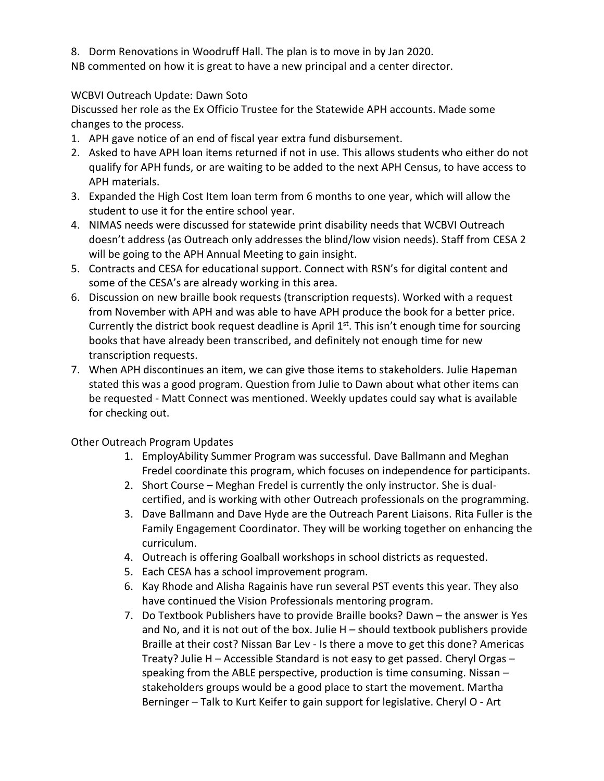8. Dorm Renovations in Woodruff Hall. The plan is to move in by Jan 2020.

NB commented on how it is great to have a new principal and a center director.

# WCBVI Outreach Update: Dawn Soto

Discussed her role as the Ex Officio Trustee for the Statewide APH accounts. Made some changes to the process.

- 1. APH gave notice of an end of fiscal year extra fund disbursement.
- 2. Asked to have APH loan items returned if not in use. This allows students who either do not qualify for APH funds, or are waiting to be added to the next APH Census, to have access to APH materials.
- 3. Expanded the High Cost Item loan term from 6 months to one year, which will allow the student to use it for the entire school year.
- 4. NIMAS needs were discussed for statewide print disability needs that WCBVI Outreach doesn't address (as Outreach only addresses the blind/low vision needs). Staff from CESA 2 will be going to the APH Annual Meeting to gain insight.
- 5. Contracts and CESA for educational support. Connect with RSN's for digital content and some of the CESA's are already working in this area.
- 6. Discussion on new braille book requests (transcription requests). Worked with a request from November with APH and was able to have APH produce the book for a better price. Currently the district book request deadline is April  $1<sup>st</sup>$ . This isn't enough time for sourcing books that have already been transcribed, and definitely not enough time for new transcription requests.
- 7. When APH discontinues an item, we can give those items to stakeholders. Julie Hapeman stated this was a good program. Question from Julie to Dawn about what other items can be requested - Matt Connect was mentioned. Weekly updates could say what is available for checking out.

### Other Outreach Program Updates

- 1. EmployAbility Summer Program was successful. Dave Ballmann and Meghan Fredel coordinate this program, which focuses on independence for participants.
- 2. Short Course Meghan Fredel is currently the only instructor. She is dualcertified, and is working with other Outreach professionals on the programming.
- 3. Dave Ballmann and Dave Hyde are the Outreach Parent Liaisons. Rita Fuller is the Family Engagement Coordinator. They will be working together on enhancing the curriculum.
- 4. Outreach is offering Goalball workshops in school districts as requested.
- 5. Each CESA has a school improvement program.
- 6. Kay Rhode and Alisha Ragainis have run several PST events this year. They also have continued the Vision Professionals mentoring program.
- 7. Do Textbook Publishers have to provide Braille books? Dawn the answer is Yes and No, and it is not out of the box. Julie  $H -$  should textbook publishers provide Braille at their cost? Nissan Bar Lev - Is there a move to get this done? Americas Treaty? Julie H – Accessible Standard is not easy to get passed. Cheryl Orgas – speaking from the ABLE perspective, production is time consuming. Nissan – stakeholders groups would be a good place to start the movement. Martha Berninger – Talk to Kurt Keifer to gain support for legislative. Cheryl O - Art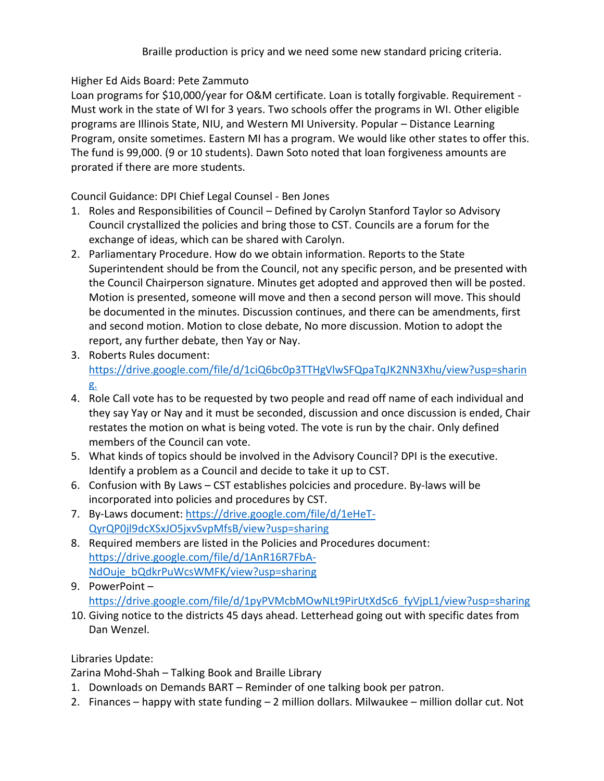### Higher Ed Aids Board: Pete Zammuto

Loan programs for \$10,000/year for O&M certificate. Loan is totally forgivable. Requirement -Must work in the state of WI for 3 years. Two schools offer the programs in WI. Other eligible programs are Illinois State, NIU, and Western MI University. Popular – Distance Learning Program, onsite sometimes. Eastern MI has a program. We would like other states to offer this. The fund is 99,000. (9 or 10 students). Dawn Soto noted that loan forgiveness amounts are prorated if there are more students.

Council Guidance: DPI Chief Legal Counsel - Ben Jones

- 1. Roles and Responsibilities of Council Defined by Carolyn Stanford Taylor so Advisory Council crystallized the policies and bring those to CST. Councils are a forum for the exchange of ideas, which can be shared with Carolyn.
- 2. Parliamentary Procedure. How do we obtain information. Reports to the State Superintendent should be from the Council, not any specific person, and be presented with the Council Chairperson signature. Minutes get adopted and approved then will be posted. Motion is presented, someone will move and then a second person will move. This should be documented in the minutes. Discussion continues, and there can be amendments, first and second motion. Motion to close debate, No more discussion. Motion to adopt the report, any further debate, then Yay or Nay.
- <span id="page-2-0"></span>3. Roberts Rules document: [https://drive.google.com/file/d/1ciQ6bc0p3TTHgVlwSFQpaTqJK2NN3Xhu/view?usp=sharin](https://drive.google.com/file/d/1ciQ6bc0p3TTHgVlwSFQpaTqJK2NN3Xhu/view?usp=sharing.) <u>ይ.</u>
- 4. Role Call vote has to be requested by two people and read off name of each individual and they say Yay or Nay and it must be seconded, discussion and once discussion is ended, Chair restates the motion on what is being voted. The vote is run by the chair. Only defined members of the Council can vote.
- 5. What kinds of topics should be involved in the Advisory Council? DPI is the executive. Identify a problem as a Council and decide to take it up to CST.
- 6. Confusion with By Laws CST establishes polcicies and procedure. By-laws will be incorporated into policies and procedures by CST.
- <span id="page-2-1"></span>7. By-Laws document: [https://drive.google.com/file/d/1eHeT-](https://drive.google.com/file/d/1eHeT-QyrQP0jl9dcXSxJO5jxvSvpMfsB/view?usp=sharing)[QyrQP0jl9dcXSxJO5jxvSvpMfsB/view?usp=sharing](https://drive.google.com/file/d/1eHeT-QyrQP0jl9dcXSxJO5jxvSvpMfsB/view?usp=sharing)
- <span id="page-2-2"></span>8. Required members are listed in the Policies and Procedures document: [https://drive.google.com/file/d/1AnR16R7FbA-](https://drive.google.com/file/d/1AnR16R7FbA-NdOuje_bQdkrPuWcsWMFK/view?usp=sharing)[NdOuje\\_bQdkrPuWcsWMFK/view?usp=sharing](https://drive.google.com/file/d/1AnR16R7FbA-NdOuje_bQdkrPuWcsWMFK/view?usp=sharing)
- <span id="page-2-3"></span>9. PowerPoint – [https://drive.google.com/file/d/1pyPVMcbMOwNLt9PirUtXdSc6\\_fyVjpL1/view?usp=sharing](https://drive.google.com/file/d/1pyPVMcbMOwNLt9PirUtXdSc6_fyVjpL1/view?usp=sharing)
- 10. Giving notice to the districts 45 days ahead. Letterhead going out with specific dates from Dan Wenzel.

Libraries Update:

Zarina Mohd-Shah – Talking Book and Braille Library

- 1. Downloads on Demands BART Reminder of one talking book per patron.
- 2. Finances happy with state funding 2 million dollars. Milwaukee million dollar cut. Not